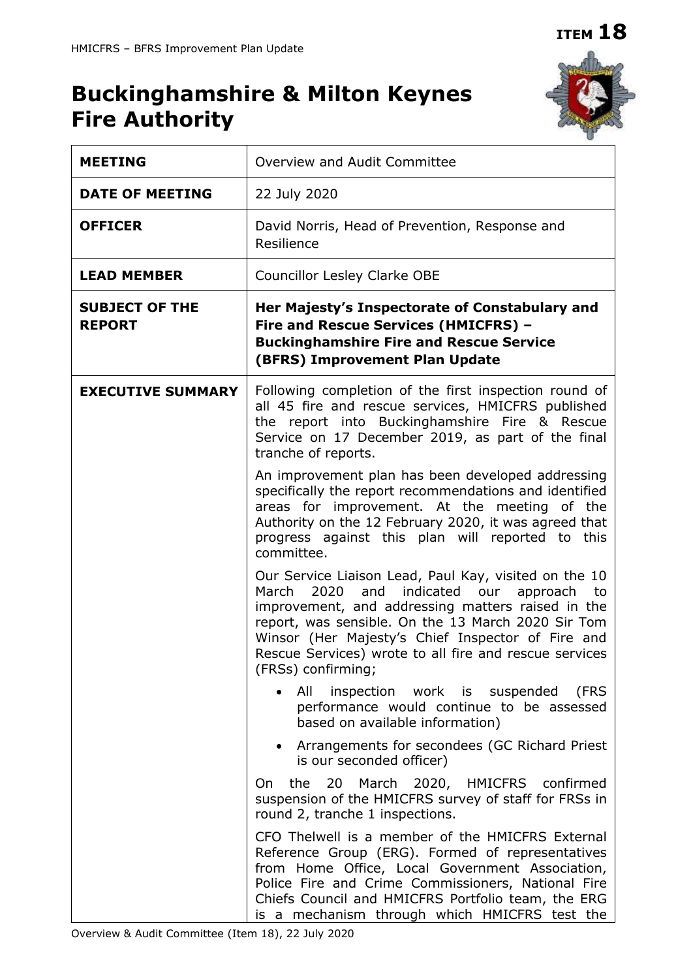# **ITEM 18**

# **Buckinghamshire & Milton Keynes Fire Authority**



| <b>MEETING</b>                         | Overview and Audit Committee                                                                                                                                                                                                                                                                                                                                        |  |
|----------------------------------------|---------------------------------------------------------------------------------------------------------------------------------------------------------------------------------------------------------------------------------------------------------------------------------------------------------------------------------------------------------------------|--|
| <b>DATE OF MEETING</b>                 | 22 July 2020                                                                                                                                                                                                                                                                                                                                                        |  |
| <b>OFFICER</b>                         | David Norris, Head of Prevention, Response and<br>Resilience                                                                                                                                                                                                                                                                                                        |  |
| <b>LEAD MEMBER</b>                     | <b>Councillor Lesley Clarke OBE</b>                                                                                                                                                                                                                                                                                                                                 |  |
| <b>SUBJECT OF THE</b><br><b>REPORT</b> | Her Majesty's Inspectorate of Constabulary and<br>Fire and Rescue Services (HMICFRS) -<br><b>Buckinghamshire Fire and Rescue Service</b><br>(BFRS) Improvement Plan Update                                                                                                                                                                                          |  |
| <b>EXECUTIVE SUMMARY</b>               | Following completion of the first inspection round of<br>all 45 fire and rescue services, HMICFRS published<br>the report into Buckinghamshire Fire & Rescue<br>Service on 17 December 2019, as part of the final<br>tranche of reports.                                                                                                                            |  |
|                                        | An improvement plan has been developed addressing<br>specifically the report recommendations and identified<br>areas for improvement. At the meeting of the<br>Authority on the 12 February 2020, it was agreed that<br>progress against this plan will reported to this<br>committee.                                                                              |  |
|                                        | Our Service Liaison Lead, Paul Kay, visited on the 10<br>2020<br>indicated<br>March<br>and<br>our<br>approach<br>to<br>improvement, and addressing matters raised in the<br>report, was sensible. On the 13 March 2020 Sir Tom<br>Winsor (Her Majesty's Chief Inspector of Fire and<br>Rescue Services) wrote to all fire and rescue services<br>(FRSs) confirming; |  |
|                                        | All<br>inspection work is suspended<br>(FRS<br>performance would continue to be assessed<br>based on available information)                                                                                                                                                                                                                                         |  |
|                                        | Arrangements for secondees (GC Richard Priest<br>$\bullet$<br>is our seconded officer)                                                                                                                                                                                                                                                                              |  |
|                                        | 20 March 2020, HMICFRS confirmed<br>the<br>On<br>suspension of the HMICFRS survey of staff for FRSs in<br>round 2, tranche 1 inspections.                                                                                                                                                                                                                           |  |
|                                        | CFO Thelwell is a member of the HMICFRS External<br>Reference Group (ERG). Formed of representatives<br>from Home Office, Local Government Association,<br>Police Fire and Crime Commissioners, National Fire<br>Chiefs Council and HMICFRS Portfolio team, the ERG<br>is a mechanism through which HMICFRS test the                                                |  |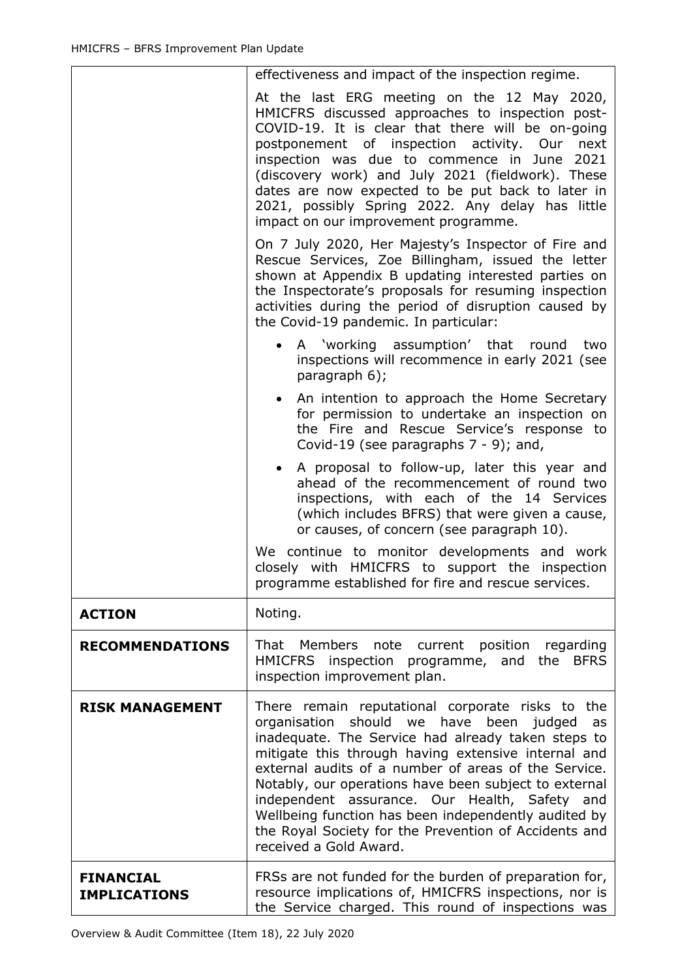|                                         | effectiveness and impact of the inspection regime.                                                                                                                                                                                                                                                                                                                                                                                                                                                                          |  |
|-----------------------------------------|-----------------------------------------------------------------------------------------------------------------------------------------------------------------------------------------------------------------------------------------------------------------------------------------------------------------------------------------------------------------------------------------------------------------------------------------------------------------------------------------------------------------------------|--|
|                                         | At the last ERG meeting on the 12 May 2020,<br>HMICFRS discussed approaches to inspection post-<br>COVID-19. It is clear that there will be on-going<br>postponement of inspection activity. Our<br>next<br>inspection was due to commence in June<br>2021<br>(discovery work) and July 2021 (fieldwork). These<br>dates are now expected to be put back to later in<br>2021, possibly Spring 2022. Any delay has little<br>impact on our improvement programme.                                                            |  |
|                                         | On 7 July 2020, Her Majesty's Inspector of Fire and<br>Rescue Services, Zoe Billingham, issued the letter<br>shown at Appendix B updating interested parties on<br>the Inspectorate's proposals for resuming inspection<br>activities during the period of disruption caused by<br>the Covid-19 pandemic. In particular:                                                                                                                                                                                                    |  |
|                                         | A 'working assumption' that round<br>two<br>inspections will recommence in early 2021 (see<br>paragraph 6);                                                                                                                                                                                                                                                                                                                                                                                                                 |  |
|                                         | An intention to approach the Home Secretary<br>for permission to undertake an inspection on<br>the Fire and Rescue Service's response to<br>Covid-19 (see paragraphs $7 - 9$ ); and,                                                                                                                                                                                                                                                                                                                                        |  |
|                                         | A proposal to follow-up, later this year and<br>$\bullet$<br>ahead of the recommencement of round two<br>inspections, with each of the 14 Services<br>(which includes BFRS) that were given a cause,<br>or causes, of concern (see paragraph 10).                                                                                                                                                                                                                                                                           |  |
|                                         | We continue to monitor developments and work<br>closely with HMICFRS to support the inspection<br>programme established for fire and rescue services.                                                                                                                                                                                                                                                                                                                                                                       |  |
| <b>ACTION</b>                           | Noting.                                                                                                                                                                                                                                                                                                                                                                                                                                                                                                                     |  |
| <b>RECOMMENDATIONS</b>                  | That Members note current position regarding<br>HMICFRS inspection programme, and the BFRS<br>inspection improvement plan.                                                                                                                                                                                                                                                                                                                                                                                                  |  |
| <b>RISK MANAGEMENT</b>                  | There remain reputational corporate risks to the<br>organisation should we have been judged<br>as<br>inadequate. The Service had already taken steps to<br>mitigate this through having extensive internal and<br>external audits of a number of areas of the Service.<br>Notably, our operations have been subject to external<br>independent assurance. Our Health, Safety and<br>Wellbeing function has been independently audited by<br>the Royal Society for the Prevention of Accidents and<br>received a Gold Award. |  |
| <b>FINANCIAL</b><br><b>IMPLICATIONS</b> | FRSs are not funded for the burden of preparation for,<br>resource implications of, HMICFRS inspections, nor is<br>the Service charged. This round of inspections was                                                                                                                                                                                                                                                                                                                                                       |  |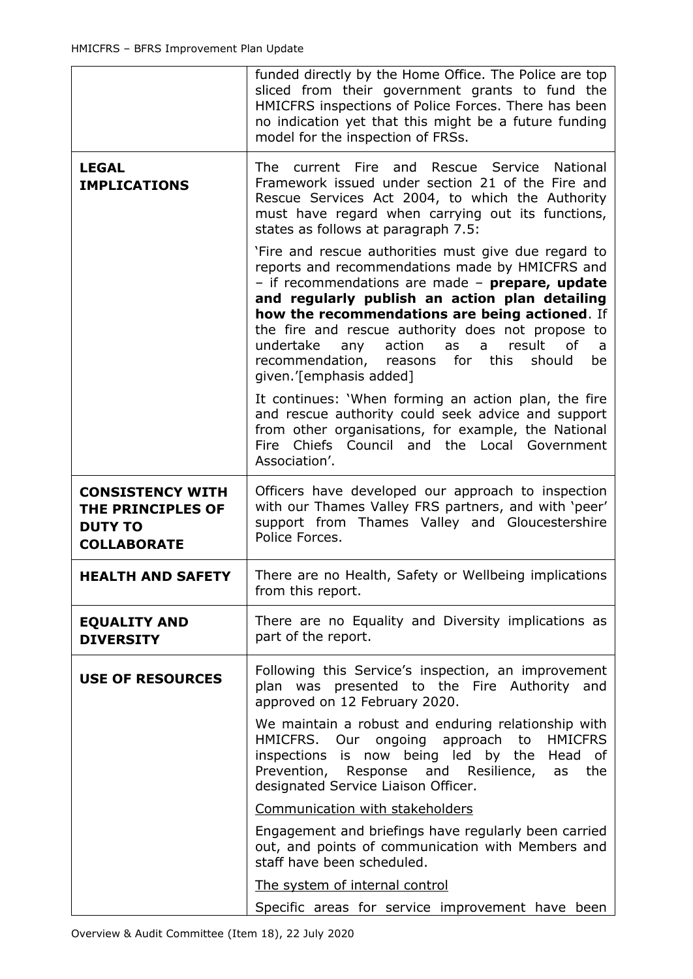|                                                                                      | funded directly by the Home Office. The Police are top<br>sliced from their government grants to fund the<br>HMICFRS inspections of Police Forces. There has been<br>no indication yet that this might be a future funding<br>model for the inspection of FRSs.                                                                                                                                                                                            |  |  |
|--------------------------------------------------------------------------------------|------------------------------------------------------------------------------------------------------------------------------------------------------------------------------------------------------------------------------------------------------------------------------------------------------------------------------------------------------------------------------------------------------------------------------------------------------------|--|--|
| <b>LEGAL</b><br><b>IMPLICATIONS</b>                                                  | current Fire and<br>Rescue Service<br><b>The</b><br><b>National</b><br>Framework issued under section 21 of the Fire and<br>Rescue Services Act 2004, to which the Authority<br>must have regard when carrying out its functions,<br>states as follows at paragraph 7.5:                                                                                                                                                                                   |  |  |
|                                                                                      | 'Fire and rescue authorities must give due regard to<br>reports and recommendations made by HMICFRS and<br>- if recommendations are made - prepare, update<br>and regularly publish an action plan detailing<br>how the recommendations are being actioned. If<br>the fire and rescue authority does not propose to<br>result<br>undertake<br>any action<br>as a<br>of<br>a<br>recommendation, reasons for this<br>should<br>be<br>qiven.'[emphasis added] |  |  |
|                                                                                      | It continues: 'When forming an action plan, the fire<br>and rescue authority could seek advice and support<br>from other organisations, for example, the National<br>Chiefs Council and the Local<br>Fire<br>Government<br>Association'.                                                                                                                                                                                                                   |  |  |
| <b>CONSISTENCY WITH</b><br>THE PRINCIPLES OF<br><b>DUTY TO</b><br><b>COLLABORATE</b> | Officers have developed our approach to inspection<br>with our Thames Valley FRS partners, and with 'peer'<br>support from Thames Valley and Gloucestershire<br>Police Forces.                                                                                                                                                                                                                                                                             |  |  |
| <b>HEALTH AND SAFETY</b>                                                             | There are no Health, Safety or Wellbeing implications<br>from this report.                                                                                                                                                                                                                                                                                                                                                                                 |  |  |
| <b>EQUALITY AND</b><br><b>DIVERSITY</b>                                              | There are no Equality and Diversity implications as<br>part of the report.                                                                                                                                                                                                                                                                                                                                                                                 |  |  |
| <b>USE OF RESOURCES</b>                                                              | Following this Service's inspection, an improvement<br>plan was presented to the Fire Authority and<br>approved on 12 February 2020.                                                                                                                                                                                                                                                                                                                       |  |  |
|                                                                                      | We maintain a robust and enduring relationship with<br>HMICFRS. Our ongoing approach<br>to<br><b>HMICFRS</b><br>inspections is now being led by the<br>Head of<br>Prevention, Response and Resilience, as<br>the<br>designated Service Liaison Officer.                                                                                                                                                                                                    |  |  |
|                                                                                      | Communication with stakeholders                                                                                                                                                                                                                                                                                                                                                                                                                            |  |  |
|                                                                                      | Engagement and briefings have regularly been carried<br>out, and points of communication with Members and<br>staff have been scheduled.                                                                                                                                                                                                                                                                                                                    |  |  |
|                                                                                      | The system of internal control                                                                                                                                                                                                                                                                                                                                                                                                                             |  |  |
|                                                                                      | Specific areas for service improvement have been                                                                                                                                                                                                                                                                                                                                                                                                           |  |  |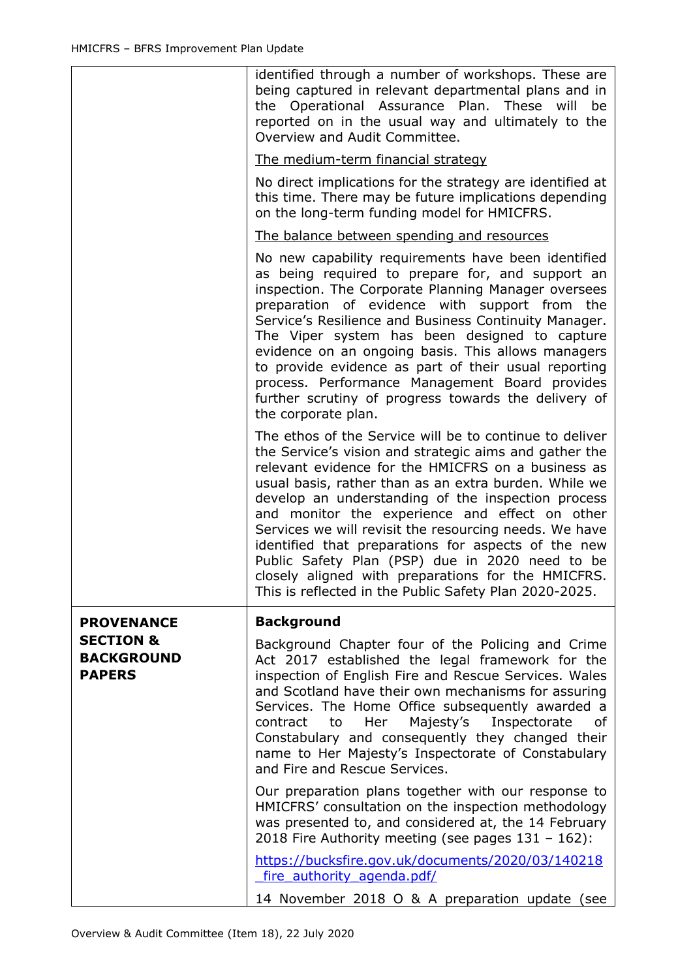|                                                            | identified through a number of workshops. These are<br>being captured in relevant departmental plans and in<br>the Operational Assurance Plan. These will<br>be<br>reported on in the usual way and ultimately to the<br>Overview and Audit Committee.<br>The medium-term financial strategy                                                                                                                                                                                                                                                                                                                                 |
|------------------------------------------------------------|------------------------------------------------------------------------------------------------------------------------------------------------------------------------------------------------------------------------------------------------------------------------------------------------------------------------------------------------------------------------------------------------------------------------------------------------------------------------------------------------------------------------------------------------------------------------------------------------------------------------------|
|                                                            | No direct implications for the strategy are identified at<br>this time. There may be future implications depending<br>on the long-term funding model for HMICFRS.                                                                                                                                                                                                                                                                                                                                                                                                                                                            |
|                                                            | The balance between spending and resources                                                                                                                                                                                                                                                                                                                                                                                                                                                                                                                                                                                   |
|                                                            | No new capability requirements have been identified<br>as being required to prepare for, and support an<br>inspection. The Corporate Planning Manager oversees<br>preparation of evidence with support from<br>the<br>Service's Resilience and Business Continuity Manager.<br>The Viper system has been designed to capture<br>evidence on an ongoing basis. This allows managers<br>to provide evidence as part of their usual reporting<br>process. Performance Management Board provides<br>further scrutiny of progress towards the delivery of<br>the corporate plan.                                                  |
|                                                            | The ethos of the Service will be to continue to deliver<br>the Service's vision and strategic aims and gather the<br>relevant evidence for the HMICFRS on a business as<br>usual basis, rather than as an extra burden. While we<br>develop an understanding of the inspection process<br>and monitor the experience and effect on other<br>Services we will revisit the resourcing needs. We have<br>identified that preparations for aspects of the new<br>Public Safety Plan (PSP) due in 2020 need to be<br>closely aligned with preparations for the HMICFRS.<br>This is reflected in the Public Safety Plan 2020-2025. |
| <b>PROVENANCE</b>                                          | <b>Background</b>                                                                                                                                                                                                                                                                                                                                                                                                                                                                                                                                                                                                            |
| <b>SECTION &amp;</b><br><b>BACKGROUND</b><br><b>PAPERS</b> | Background Chapter four of the Policing and Crime<br>Act 2017 established the legal framework for the<br>inspection of English Fire and Rescue Services. Wales<br>and Scotland have their own mechanisms for assuring<br>Services. The Home Office subsequently awarded a<br>Majesty's Inspectorate<br>contract<br>to to<br>Her<br>0f<br>Constabulary and consequently they changed their<br>name to Her Majesty's Inspectorate of Constabulary<br>and Fire and Rescue Services.                                                                                                                                             |
|                                                            | Our preparation plans together with our response to<br>HMICFRS' consultation on the inspection methodology<br>was presented to, and considered at, the 14 February<br>2018 Fire Authority meeting (see pages $131 - 162$ ):                                                                                                                                                                                                                                                                                                                                                                                                  |
|                                                            | https://bucksfire.gov.uk/documents/2020/03/140218<br>fire authority agenda.pdf/                                                                                                                                                                                                                                                                                                                                                                                                                                                                                                                                              |
|                                                            | 14 November 2018 O & A preparation update (see                                                                                                                                                                                                                                                                                                                                                                                                                                                                                                                                                                               |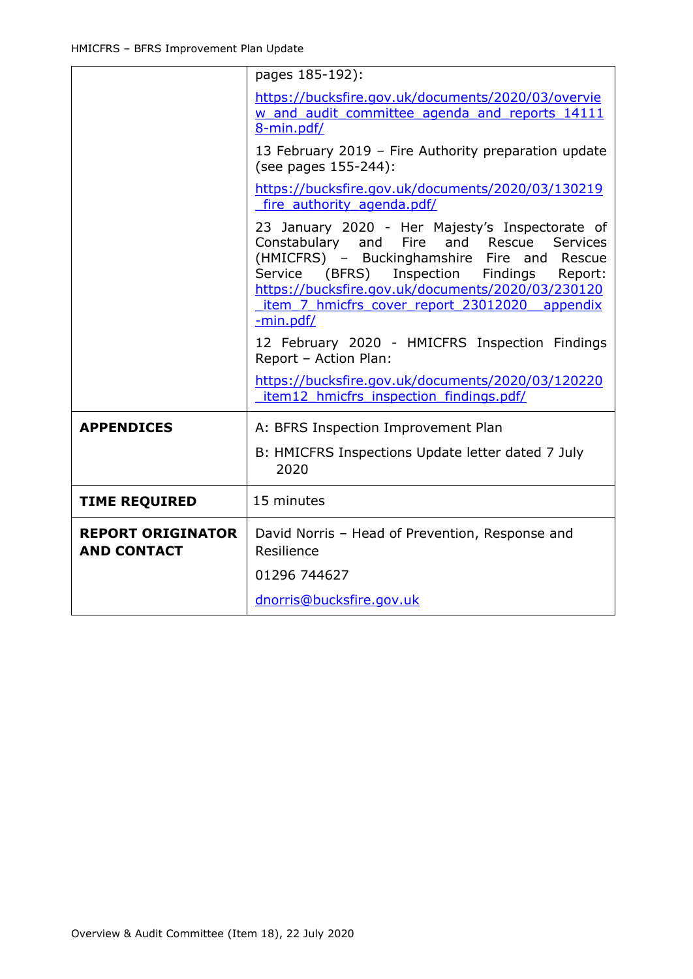| pages 185-192):                                                                                                                                                                                                                                                                                                             |  |
|-----------------------------------------------------------------------------------------------------------------------------------------------------------------------------------------------------------------------------------------------------------------------------------------------------------------------------|--|
| https://bucksfire.gov.uk/documents/2020/03/overvie<br>w and audit committee agenda and reports 14111<br>8-min.pdf/                                                                                                                                                                                                          |  |
| 13 February 2019 - Fire Authority preparation update<br>(see pages 155-244):                                                                                                                                                                                                                                                |  |
| https://bucksfire.gov.uk/documents/2020/03/130219<br>fire authority agenda.pdf/                                                                                                                                                                                                                                             |  |
| 23 January 2020 - Her Majesty's Inspectorate of<br>Constabulary and Fire<br>and Rescue<br>Services<br>(HMICFRS) - Buckinghamshire Fire and Rescue<br>Inspection<br>Service (BFRS)<br>Findings<br>Report:<br>https://bucksfire.gov.uk/documents/2020/03/230120<br>item 7 hmicfrs cover report 23012020 appendix<br>-min.pdf/ |  |
| 12 February 2020 - HMICFRS Inspection Findings<br>Report - Action Plan:                                                                                                                                                                                                                                                     |  |
| https://bucksfire.gov.uk/documents/2020/03/120220<br>item12 hmicfrs inspection findings.pdf/                                                                                                                                                                                                                                |  |
| A: BFRS Inspection Improvement Plan                                                                                                                                                                                                                                                                                         |  |
| B: HMICFRS Inspections Update letter dated 7 July<br>2020                                                                                                                                                                                                                                                                   |  |
| 15 minutes                                                                                                                                                                                                                                                                                                                  |  |
| David Norris - Head of Prevention, Response and<br>Resilience                                                                                                                                                                                                                                                               |  |
| 01296 744627                                                                                                                                                                                                                                                                                                                |  |
| dnorris@bucksfire.gov.uk                                                                                                                                                                                                                                                                                                    |  |
|                                                                                                                                                                                                                                                                                                                             |  |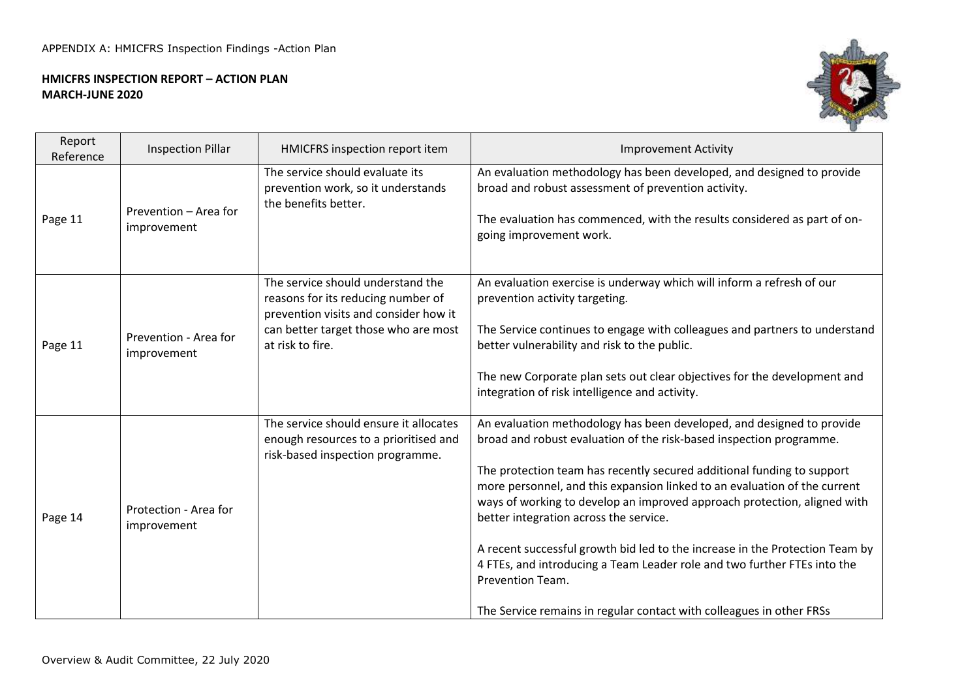#### **HMICFRS INSPECTION REPORT – ACTION PLAN MARCH-JUNE 2020**



| Report<br>Reference | <b>Inspection Pillar</b>             | HMICFRS inspection report item                                                                                                                                               | <b>Improvement Activity</b>                                                                                                                                                                                                                                                                                                                                                                                                                                                                                                                                                                                                                                                       |
|---------------------|--------------------------------------|------------------------------------------------------------------------------------------------------------------------------------------------------------------------------|-----------------------------------------------------------------------------------------------------------------------------------------------------------------------------------------------------------------------------------------------------------------------------------------------------------------------------------------------------------------------------------------------------------------------------------------------------------------------------------------------------------------------------------------------------------------------------------------------------------------------------------------------------------------------------------|
| Page 11             | Prevention - Area for<br>improvement | The service should evaluate its<br>prevention work, so it understands<br>the benefits better.                                                                                | An evaluation methodology has been developed, and designed to provide<br>broad and robust assessment of prevention activity.<br>The evaluation has commenced, with the results considered as part of on-<br>going improvement work.                                                                                                                                                                                                                                                                                                                                                                                                                                               |
| Page 11             | Prevention - Area for<br>improvement | The service should understand the<br>reasons for its reducing number of<br>prevention visits and consider how it<br>can better target those who are most<br>at risk to fire. | An evaluation exercise is underway which will inform a refresh of our<br>prevention activity targeting.<br>The Service continues to engage with colleagues and partners to understand<br>better vulnerability and risk to the public.<br>The new Corporate plan sets out clear objectives for the development and<br>integration of risk intelligence and activity.                                                                                                                                                                                                                                                                                                               |
| Page 14             | Protection - Area for<br>improvement | The service should ensure it allocates<br>enough resources to a prioritised and<br>risk-based inspection programme.                                                          | An evaluation methodology has been developed, and designed to provide<br>broad and robust evaluation of the risk-based inspection programme.<br>The protection team has recently secured additional funding to support<br>more personnel, and this expansion linked to an evaluation of the current<br>ways of working to develop an improved approach protection, aligned with<br>better integration across the service.<br>A recent successful growth bid led to the increase in the Protection Team by<br>4 FTEs, and introducing a Team Leader role and two further FTEs into the<br>Prevention Team.<br>The Service remains in regular contact with colleagues in other FRSs |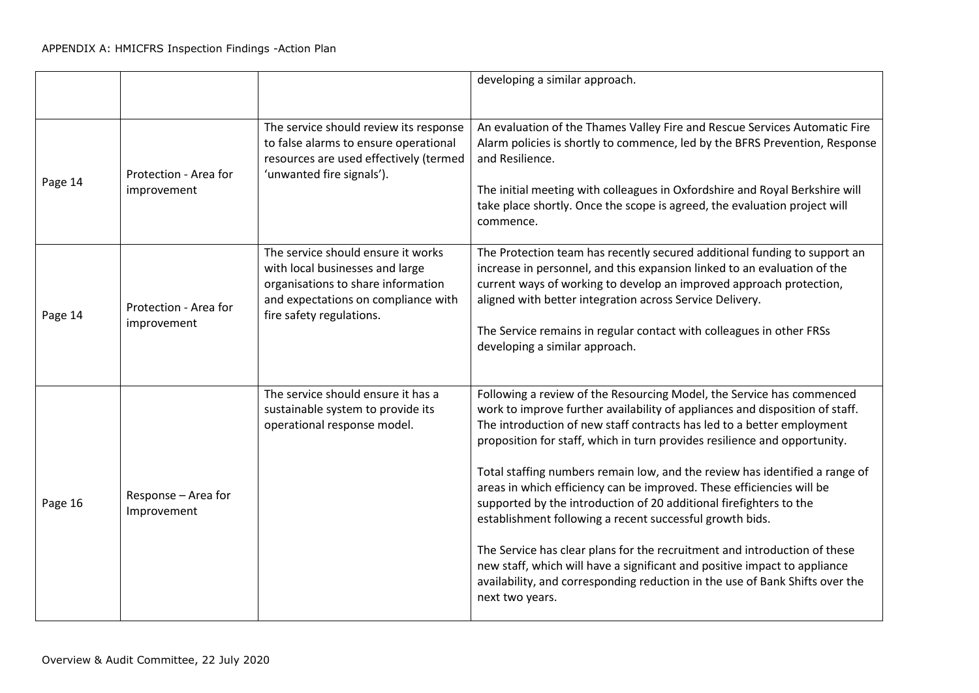|         |                                      |                                                                                                                                                                                | developing a similar approach.                                                                                                                                                                                                                                                                                                                                                                                                                                                                                                                                                                                                                                                                                                                                                                                                                                      |
|---------|--------------------------------------|--------------------------------------------------------------------------------------------------------------------------------------------------------------------------------|---------------------------------------------------------------------------------------------------------------------------------------------------------------------------------------------------------------------------------------------------------------------------------------------------------------------------------------------------------------------------------------------------------------------------------------------------------------------------------------------------------------------------------------------------------------------------------------------------------------------------------------------------------------------------------------------------------------------------------------------------------------------------------------------------------------------------------------------------------------------|
| Page 14 | Protection - Area for<br>improvement | The service should review its response<br>to false alarms to ensure operational<br>resources are used effectively (termed<br>'unwanted fire signals').                         | An evaluation of the Thames Valley Fire and Rescue Services Automatic Fire<br>Alarm policies is shortly to commence, led by the BFRS Prevention, Response<br>and Resilience.<br>The initial meeting with colleagues in Oxfordshire and Royal Berkshire will<br>take place shortly. Once the scope is agreed, the evaluation project will<br>commence.                                                                                                                                                                                                                                                                                                                                                                                                                                                                                                               |
| Page 14 | Protection - Area for<br>improvement | The service should ensure it works<br>with local businesses and large<br>organisations to share information<br>and expectations on compliance with<br>fire safety regulations. | The Protection team has recently secured additional funding to support an<br>increase in personnel, and this expansion linked to an evaluation of the<br>current ways of working to develop an improved approach protection,<br>aligned with better integration across Service Delivery.<br>The Service remains in regular contact with colleagues in other FRSs<br>developing a similar approach.                                                                                                                                                                                                                                                                                                                                                                                                                                                                  |
| Page 16 | Response - Area for<br>Improvement   | The service should ensure it has a<br>sustainable system to provide its<br>operational response model.                                                                         | Following a review of the Resourcing Model, the Service has commenced<br>work to improve further availability of appliances and disposition of staff.<br>The introduction of new staff contracts has led to a better employment<br>proposition for staff, which in turn provides resilience and opportunity.<br>Total staffing numbers remain low, and the review has identified a range of<br>areas in which efficiency can be improved. These efficiencies will be<br>supported by the introduction of 20 additional firefighters to the<br>establishment following a recent successful growth bids.<br>The Service has clear plans for the recruitment and introduction of these<br>new staff, which will have a significant and positive impact to appliance<br>availability, and corresponding reduction in the use of Bank Shifts over the<br>next two years. |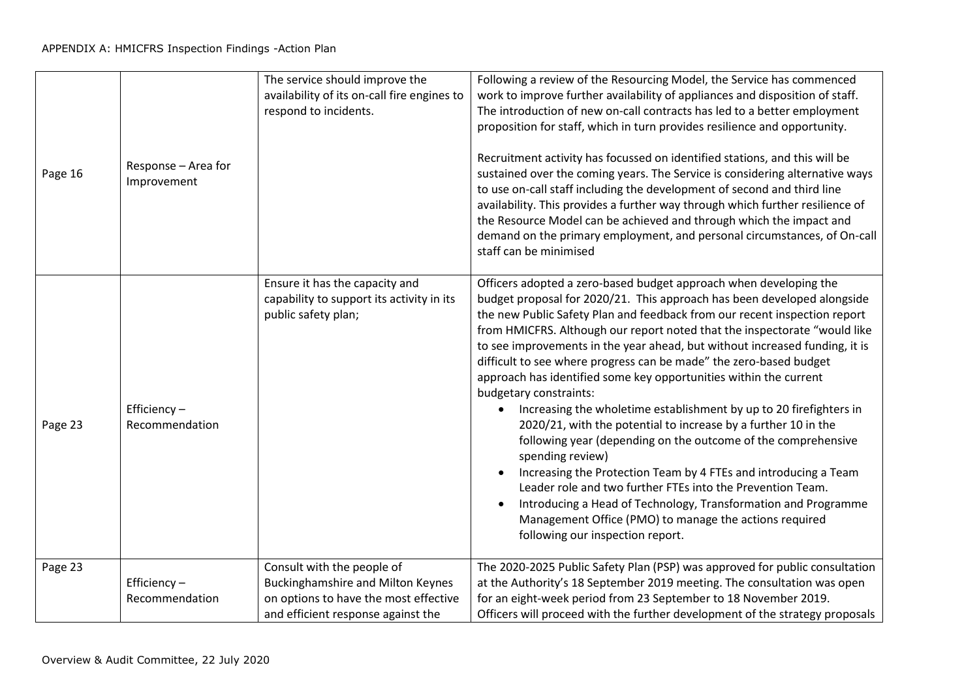| Page 16 | Response - Area for<br>Improvement | The service should improve the<br>availability of its on-call fire engines to<br>respond to incidents.                                                | Following a review of the Resourcing Model, the Service has commenced<br>work to improve further availability of appliances and disposition of staff.<br>The introduction of new on-call contracts has led to a better employment<br>proposition for staff, which in turn provides resilience and opportunity.<br>Recruitment activity has focussed on identified stations, and this will be<br>sustained over the coming years. The Service is considering alternative ways<br>to use on-call staff including the development of second and third line<br>availability. This provides a further way through which further resilience of<br>the Resource Model can be achieved and through which the impact and<br>demand on the primary employment, and personal circumstances, of On-call<br>staff can be minimised                                                                                                                                                                                                                                                                    |
|---------|------------------------------------|-------------------------------------------------------------------------------------------------------------------------------------------------------|------------------------------------------------------------------------------------------------------------------------------------------------------------------------------------------------------------------------------------------------------------------------------------------------------------------------------------------------------------------------------------------------------------------------------------------------------------------------------------------------------------------------------------------------------------------------------------------------------------------------------------------------------------------------------------------------------------------------------------------------------------------------------------------------------------------------------------------------------------------------------------------------------------------------------------------------------------------------------------------------------------------------------------------------------------------------------------------|
| Page 23 | Efficiency $-$<br>Recommendation   | Ensure it has the capacity and<br>capability to support its activity in its<br>public safety plan;                                                    | Officers adopted a zero-based budget approach when developing the<br>budget proposal for 2020/21. This approach has been developed alongside<br>the new Public Safety Plan and feedback from our recent inspection report<br>from HMICFRS. Although our report noted that the inspectorate "would like<br>to see improvements in the year ahead, but without increased funding, it is<br>difficult to see where progress can be made" the zero-based budget<br>approach has identified some key opportunities within the current<br>budgetary constraints:<br>Increasing the wholetime establishment by up to 20 firefighters in<br>2020/21, with the potential to increase by a further 10 in the<br>following year (depending on the outcome of the comprehensive<br>spending review)<br>Increasing the Protection Team by 4 FTEs and introducing a Team<br>Leader role and two further FTEs into the Prevention Team.<br>Introducing a Head of Technology, Transformation and Programme<br>Management Office (PMO) to manage the actions required<br>following our inspection report. |
| Page 23 | Efficiency-<br>Recommendation      | Consult with the people of<br><b>Buckinghamshire and Milton Keynes</b><br>on options to have the most effective<br>and efficient response against the | The 2020-2025 Public Safety Plan (PSP) was approved for public consultation<br>at the Authority's 18 September 2019 meeting. The consultation was open<br>for an eight-week period from 23 September to 18 November 2019.<br>Officers will proceed with the further development of the strategy proposals                                                                                                                                                                                                                                                                                                                                                                                                                                                                                                                                                                                                                                                                                                                                                                                |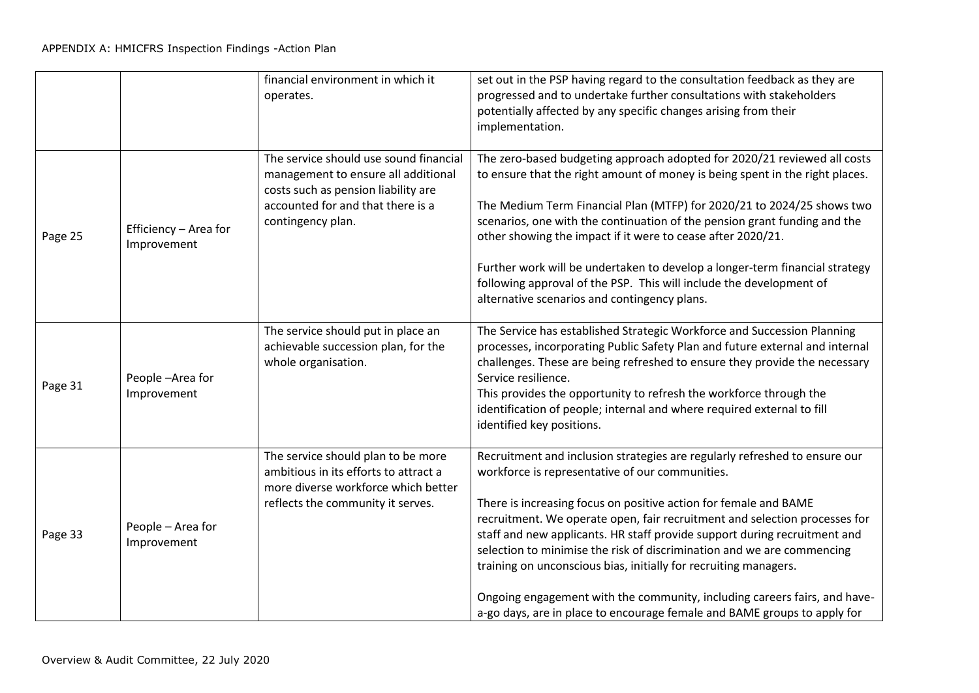|         |                                      | financial environment in which it<br>operates.                                                                                                                                 | set out in the PSP having regard to the consultation feedback as they are<br>progressed and to undertake further consultations with stakeholders<br>potentially affected by any specific changes arising from their<br>implementation.                                                                                                                                                                                                                                                                                                                                                                                                                              |
|---------|--------------------------------------|--------------------------------------------------------------------------------------------------------------------------------------------------------------------------------|---------------------------------------------------------------------------------------------------------------------------------------------------------------------------------------------------------------------------------------------------------------------------------------------------------------------------------------------------------------------------------------------------------------------------------------------------------------------------------------------------------------------------------------------------------------------------------------------------------------------------------------------------------------------|
| Page 25 | Efficiency - Area for<br>Improvement | The service should use sound financial<br>management to ensure all additional<br>costs such as pension liability are<br>accounted for and that there is a<br>contingency plan. | The zero-based budgeting approach adopted for 2020/21 reviewed all costs<br>to ensure that the right amount of money is being spent in the right places.<br>The Medium Term Financial Plan (MTFP) for 2020/21 to 2024/25 shows two<br>scenarios, one with the continuation of the pension grant funding and the<br>other showing the impact if it were to cease after 2020/21.<br>Further work will be undertaken to develop a longer-term financial strategy<br>following approval of the PSP. This will include the development of<br>alternative scenarios and contingency plans.                                                                                |
| Page 31 | People-Area for<br>Improvement       | The service should put in place an<br>achievable succession plan, for the<br>whole organisation.                                                                               | The Service has established Strategic Workforce and Succession Planning<br>processes, incorporating Public Safety Plan and future external and internal<br>challenges. These are being refreshed to ensure they provide the necessary<br>Service resilience.<br>This provides the opportunity to refresh the workforce through the<br>identification of people; internal and where required external to fill<br>identified key positions.                                                                                                                                                                                                                           |
| Page 33 | People - Area for<br>Improvement     | The service should plan to be more<br>ambitious in its efforts to attract a<br>more diverse workforce which better<br>reflects the community it serves.                        | Recruitment and inclusion strategies are regularly refreshed to ensure our<br>workforce is representative of our communities.<br>There is increasing focus on positive action for female and BAME<br>recruitment. We operate open, fair recruitment and selection processes for<br>staff and new applicants. HR staff provide support during recruitment and<br>selection to minimise the risk of discrimination and we are commencing<br>training on unconscious bias, initially for recruiting managers.<br>Ongoing engagement with the community, including careers fairs, and have-<br>a-go days, are in place to encourage female and BAME groups to apply for |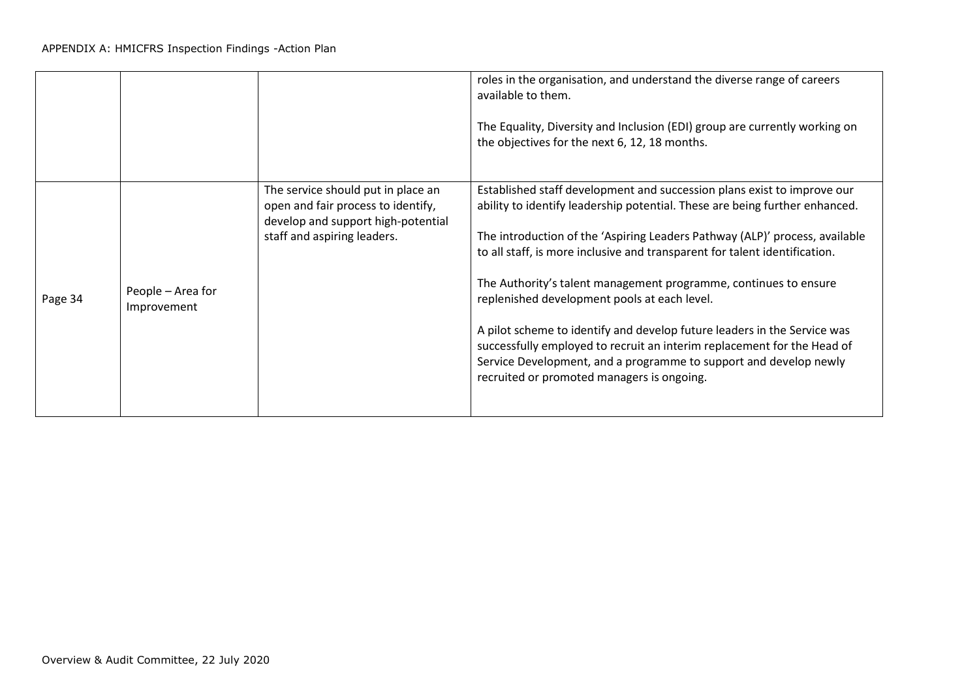|         |                                  |                                                                                                                                               | roles in the organisation, and understand the diverse range of careers<br>available to them.<br>The Equality, Diversity and Inclusion (EDI) group are currently working on<br>the objectives for the next 6, 12, 18 months.                                                                                                                                                                                                                                                                                                                                                                                                                                                                                       |
|---------|----------------------------------|-----------------------------------------------------------------------------------------------------------------------------------------------|-------------------------------------------------------------------------------------------------------------------------------------------------------------------------------------------------------------------------------------------------------------------------------------------------------------------------------------------------------------------------------------------------------------------------------------------------------------------------------------------------------------------------------------------------------------------------------------------------------------------------------------------------------------------------------------------------------------------|
| Page 34 | People – Area for<br>Improvement | The service should put in place an<br>open and fair process to identify,<br>develop and support high-potential<br>staff and aspiring leaders. | Established staff development and succession plans exist to improve our<br>ability to identify leadership potential. These are being further enhanced.<br>The introduction of the 'Aspiring Leaders Pathway (ALP)' process, available<br>to all staff, is more inclusive and transparent for talent identification.<br>The Authority's talent management programme, continues to ensure<br>replenished development pools at each level.<br>A pilot scheme to identify and develop future leaders in the Service was<br>successfully employed to recruit an interim replacement for the Head of<br>Service Development, and a programme to support and develop newly<br>recruited or promoted managers is ongoing. |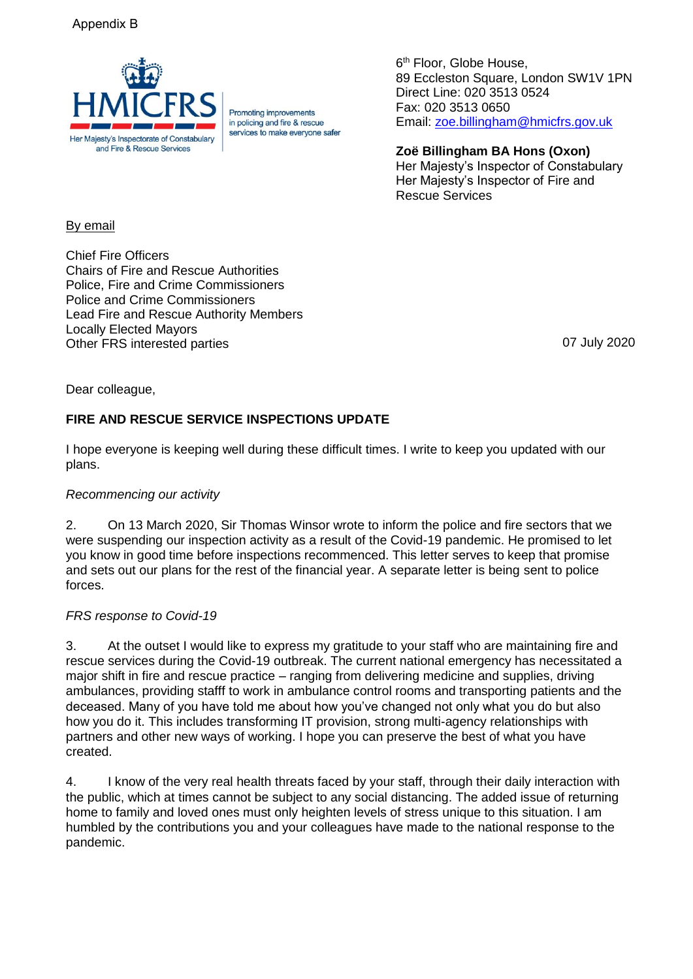# Appendix B



Promoting improvements in policing and fire & rescue services to make everyone safer

6<sup>th</sup> Floor, Globe House, 89 Eccleston Square, London SW1V 1PN Direct Line: 020 3513 0524 Fax: 020 3513 0650 Email: [zoe.billingham@hmicfrs.gov.uk](mailto:zoe.billingham@hmicfrs.gov.uk)

**Zoë Billingham BA Hons (Oxon)** Her Majesty's Inspector of Constabulary Her Majesty's Inspector of Fire and Rescue Services

### By email

Chief Fire Officers Chairs of Fire and Rescue Authorities Police, Fire and Crime Commissioners Police and Crime Commissioners Lead Fire and Rescue Authority Members Locally Elected Mayors Other FRS interested parties 07 July 2020

Dear colleague,

# **FIRE AND RESCUE SERVICE INSPECTIONS UPDATE**

I hope everyone is keeping well during these difficult times. I write to keep you updated with our plans.

#### *Recommencing our activity*

2. On 13 March 2020, Sir Thomas Winsor wrote to inform the police and fire sectors that we were suspending our inspection activity as a result of the Covid-19 pandemic. He promised to let you know in good time before inspections recommenced. This letter serves to keep that promise and sets out our plans for the rest of the financial year. A separate letter is being sent to police forces.

#### *FRS response to Covid-19*

3. At the outset I would like to express my gratitude to your staff who are maintaining fire and rescue services during the Covid-19 outbreak. The current national emergency has necessitated a major shift in fire and rescue practice – ranging from delivering medicine and supplies, driving ambulances, providing stafff to work in ambulance control rooms and transporting patients and the deceased. Many of you have told me about how you've changed not only what you do but also how you do it. This includes transforming IT provision, strong multi-agency relationships with partners and other new ways of working. I hope you can preserve the best of what you have created.

4. I know of the very real health threats faced by your staff, through their daily interaction with the public, which at times cannot be subject to any social distancing. The added issue of returning home to family and loved ones must only heighten levels of stress unique to this situation. I am humbled by the contributions you and your colleagues have made to the national response to the pandemic.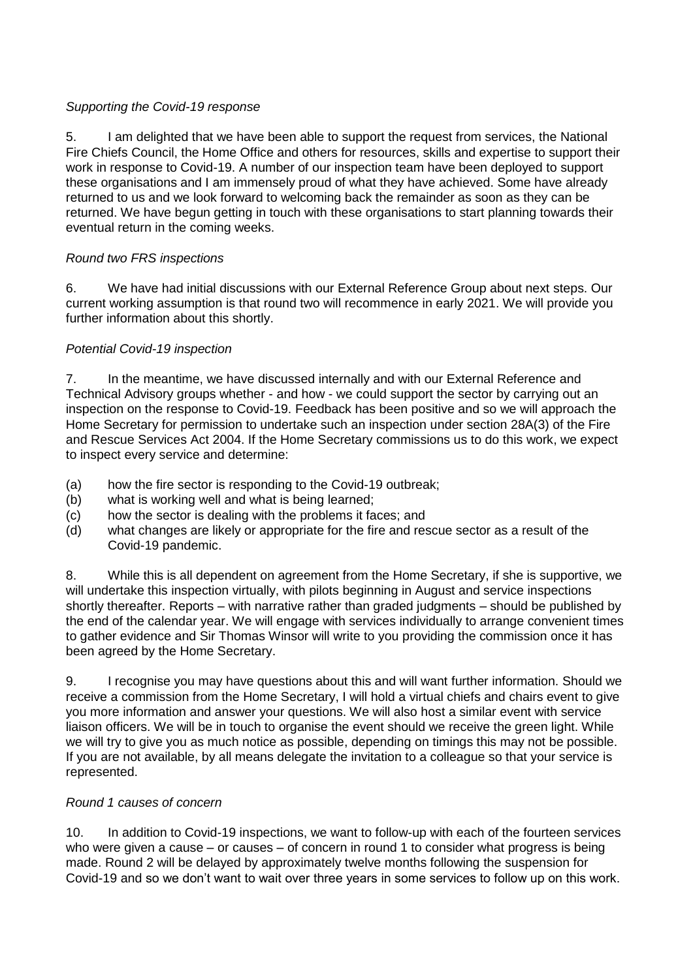# *Supporting the Covid-19 response*

5. I am delighted that we have been able to support the request from services, the National Fire Chiefs Council, the Home Office and others for resources, skills and expertise to support their work in response to Covid-19. A number of our inspection team have been deployed to support these organisations and I am immensely proud of what they have achieved. Some have already returned to us and we look forward to welcoming back the remainder as soon as they can be returned. We have begun getting in touch with these organisations to start planning towards their eventual return in the coming weeks.

# *Round two FRS inspections*

6. We have had initial discussions with our External Reference Group about next steps. Our current working assumption is that round two will recommence in early 2021. We will provide you further information about this shortly.

# *Potential Covid-19 inspection*

7. In the meantime, we have discussed internally and with our External Reference and Technical Advisory groups whether - and how - we could support the sector by carrying out an inspection on the response to Covid-19. Feedback has been positive and so we will approach the Home Secretary for permission to undertake such an inspection under section 28A(3) of the Fire and Rescue Services Act 2004. If the Home Secretary commissions us to do this work, we expect to inspect every service and determine:

- (a) how the fire sector is responding to the Covid-19 outbreak;
- (b) what is working well and what is being learned;
- (c) how the sector is dealing with the problems it faces; and
- (d) what changes are likely or appropriate for the fire and rescue sector as a result of the Covid-19 pandemic.

8. While this is all dependent on agreement from the Home Secretary, if she is supportive, we will undertake this inspection virtually, with pilots beginning in August and service inspections shortly thereafter. Reports – with narrative rather than graded judgments – should be published by the end of the calendar year. We will engage with services individually to arrange convenient times to gather evidence and Sir Thomas Winsor will write to you providing the commission once it has been agreed by the Home Secretary.

9. I recognise you may have questions about this and will want further information. Should we receive a commission from the Home Secretary, I will hold a virtual chiefs and chairs event to give you more information and answer your questions. We will also host a similar event with service liaison officers. We will be in touch to organise the event should we receive the green light. While we will try to give you as much notice as possible, depending on timings this may not be possible. If you are not available, by all means delegate the invitation to a colleague so that your service is represented.

#### *Round 1 causes of concern*

10. In addition to Covid-19 inspections, we want to follow-up with each of the fourteen services who were given a cause – or causes – of concern in round 1 to consider what progress is being made. Round 2 will be delayed by approximately twelve months following the suspension for Covid-19 and so we don't want to wait over three years in some services to follow up on this work.